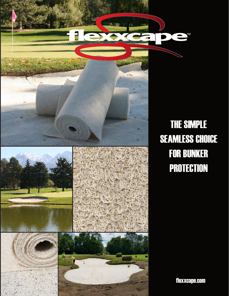

# THE SIMPLE SEAMLESS CHOICE FOR BUNKER **PROTECTION**

 $\nabla$ 

 $\blacksquare$ 

flexxcape.com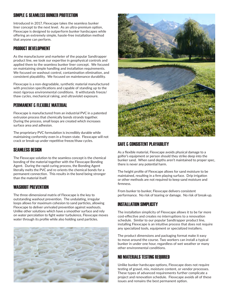# SIMPLE & SEAMLESS BUNKER PROTECTION

Introduced in 2017, Flexxcape takes the seamless bunker liner concept to the next level. As an ultra-premium option, Flexxcape is designed to outperform bunker hardscapes while offering an extremely simple, hassle-free installation method that anyone can perform.

#### PRODUCT DEVELOPMENT

As the manufacturer and marketer of the popular Sandtrapper product line, we took our expertise in geophysical controls and applied them to the seamless bunker liner concept. We focused on maintaining simple handling and installation requirements. We focused on washout control, contamination elimination, and consistent playability. We focused on maintenance durability.

Flexxcape is a non-degradable, synthetic material manufactured with precision specifications and capable of standing up to the most rigorous environmental conditions. It withstands freeze/ thaw cycles, mechanical raking, and ultraviolet exposure.

# PERMANENT & FLEXIBLE MATERIAL

Flexxcape is manufactured from an industrial PVC in a patented extrusion process that chemically bonds strands together. During the process, small loops are created which increases surface area and adhesion.

The proprietary PVC formulation is incredibly durable while maintaining conformity even in a frozen state. Flexxcape will not crack or break-up under repetitive freeze/thaw cycles.

#### SEAMLESS DESIGN

The Flexxcape solution to the seamless concept is the chemical bonding of the material together with the Flexxcape Bonding Agent. During the rapid curing process, the Bonding Agent literally melts the PVC and re-orients the chemical bonds for a permanent connection. This results in the bond being stronger than the material itself.

#### WASHOUT PREVENTION

The three-dimensional matrix of Flexxcape is the key to outstanding washout prevention. The undulating, irregular loops allows for maximum cohesion to sand particles, allowing Flexxcape to deliver unrivaled prevention against washouts. Unlike other solutions which have a smoother surface and rely on water percolation to fight water turbulence, Flexxcape moves water through its profile while also holding sand particles.





#### SAFE & CONSISTENT PLAYABILITY

As a flexible material, Flexxcape avoids physical damage to a golfer's equipment or person should they strike deep into the bunker sand. When sand depths aren't maintained to proper spec, there is never any potential harm.

The height profile of Flexxcape allows for sand moisture to be maintained, resulting in a firm playing surface. Drip irrigation or other methods are not required to keep sand moisture and firmness.

From bunker to bunker, Flexxcape delivers consistent performance. No risk of tearing or damage. No risk of break-up.

## INSTALLATION SIMPLICITY

The installation simplicity of Flexxcape allows it to be far more cost-effective and creates no interruptions to a renovation schedule. Similar to our popular Sandtrapper product line, installing Flexxcape is an intuitive process that does not require any specialized tools, equipment or specialized installers.

The product dimensions and packaging format make it easy to move around the course. Two workers can install a typical bunker in under one hour, regardless of wet weather or many other environmental conditions.

#### NO MATERIALS TESTING REQUIRED

Unlike bunker hardscape options, Flexxcape does not require testing of gravel, mix, moisture content, or vendor processes. These types of advanced requirements further complicate a project and renovation schedule. Flexxcape avoids all of these issues and remains the best permanent option.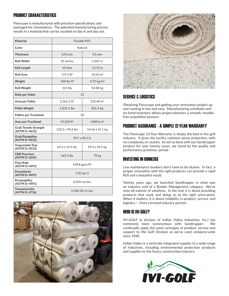# PRODUCT CHARACTERISTICS

Flexxcape is manufactured with precision specifications and packaged for convenience. The patented manufacturing process results in a material that can be counted on day in and day out.

| <b>Material</b>                          | <b>Flexible PVC</b>          |                       |
|------------------------------------------|------------------------------|-----------------------|
| Color                                    | Natural                      |                       |
| <b>Thickness</b>                         | $3/8$ inch                   | $9.5 \text{ mm}$      |
| <b>Roll Width</b>                        | 42 inches                    | 1.067 m               |
| <b>Roll Length</b>                       | 45 feet                      | 13.72 m               |
| <b>Roll Area</b>                         | 157.5 ft <sup>2</sup>        | $14.63 \text{ m}^2$   |
| Weight                                   | .768 lbs $ft^2$              | 3.75 $kg/m2$          |
| <b>Roll Weight</b>                       | $121$ lbs                    | 54.88 kg              |
| <b>Rolls per Pallet</b>                  | 1.5                          |                       |
| Area per Pallet                          | 2,362.5 $ft^2$               | $219.48 \text{ m}^2$  |
| <b>Pallet Weight</b>                     | 1,832.5 lbs                  | 831.2 kg              |
| Pallets per Truckload                    | 20                           |                       |
| Area per Truckload                       | 47,250 ft <sup>2</sup>       | 4389.6 m <sup>2</sup> |
| Grab Tensile Strength<br>(ASTM D-4632)   | 120.5 x 90.6 lbs             | 54.66 x 41.1 kg       |
| <b>Grab Elongation</b><br>(ASTM D-4632)  | 99.7 x 89.3 %                |                       |
| <b>Trapezoidal Tear</b><br>(ASTM D-4533) | 64.6 x 53.5 lbs              | 29.3 x 24.5 kg        |
| <b>CBR Puncture</b><br>(ASTM D-6241)     | 165.3 lbs                    | 75 kg                 |
| <b>Flow Rate</b><br>(ASTM D-4491)        | 549.8 gpm/ft <sup>2</sup>    |                       |
| Permittivity<br>(ASTM D-4491)            | $7.35$ sec-1                 |                       |
| Permeability<br>(ASTM D-4491)            | 6.059 cm/sec                 |                       |
| Transmissivity<br>(ASTM D-4716)          | 1.92E-03 m <sup>2</sup> /sec |                       |





# SERVICE & LOGISTICS

Obtaining Flexxcape and getting your renovation project up and running is fast and easy. Manufacturing schedules and on-hand inventory allows project planners a smooth, troublefree acquisition process.

# PRODUCT ASSURANCE - A SIMPLE 12-YEAR WARRANTY

The Flexxcape 12-Year Warranty is simply the best in the golf industry. It gives the facility common-sense protection, with no complexity or caveats. As we've done with our Sandtrapper product for over twenty years, we stand by the quality and performance promises, period.

# INVESTING IN BUNKERS

Low maintenance bunkers don't have to be elusive. In fact, a proper renovation with the right products can provide a rapid ROI and a beautiful result.

Twenty years ago, we launched Sandtrapper in what was an industry void of a Bunker Management category. We've seen all manner of solutions. In the end, it is about providing products that work and doing so at the right price-point. When it matters, it is about reliability in product, service, and logistics — from a trusted industry partner.

#### WHO IS IVI-GOLF?

IVI-GOLF (a division of Indian Valley Industries, Inc.) has commonly been synonymous with Sandtrapper. We continually apply the same synergies of product, service and support to the Golf Division as we've used company-wide since 1940.

Indian Valley is a vertically integrated supplier to a wide range of industries, including environmental protection products and supplies to the heavy construction industry.